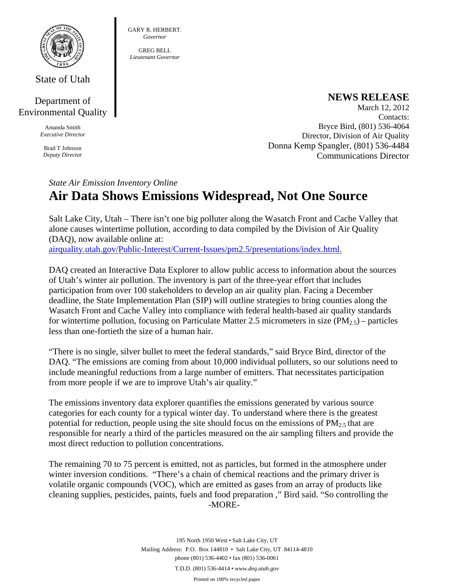

State of Utah

## Department of Environmental Quality

Amanda Smith *Executive Director* 

Brad T Johnson *Deputy Director* 

## **NEWS RELEASE**

March 12, 2012 Contacts: Bryce Bird, (801) 536-4064 Director, Division of Air Quality Donna Kemp Spangler, (801) 536-4484 Communications Director

## *State Air Emission Inventory Online*  **Air Data Shows Emissions Widespread, Not One Source**

GARY R. HERBERT. *Governor*  GREG BELL *Lieutenant Governor* 

Salt Lake City, Utah – There isn't one big polluter along the Wasatch Front and Cache Valley that alone causes wintertime pollution, according to data compiled by the Division of Air Quality (DAQ), now available online at: airquality.utah.gov/Public-Interest/Current-Issues/pm2.5/presentations/index.html.

DAQ created an Interactive Data Explorer to allow public access to information about the sources of Utah's winter air pollution. The inventory is part of the three-year effort that includes participation from over 100 stakeholders to develop an air quality plan. Facing a December deadline, the State Implementation Plan (SIP) will outline strategies to bring counties along the Wasatch Front and Cache Valley into compliance with federal health-based air quality standards for wintertime pollution, focusing on Particulate Matter 2.5 micrometers in size  $(PM_{2.5})$  – particles less than one-fortieth the size of a human hair.

"There is no single, silver bullet to meet the federal standards," said Bryce Bird, director of the DAQ. "The emissions are coming from about 10,000 individual polluters, so our solutions need to include meaningful reductions from a large number of emitters. That necessitates participation from more people if we are to improve Utah's air quality."

The emissions inventory data explorer quantifies the emissions generated by various source categories for each county for a typical winter day. To understand where there is the greatest potential for reduction, people using the site should focus on the emissions of  $PM_{2.5}$  that are responsible for nearly a third of the particles measured on the air sampling filters and provide the most direct reduction to pollution concentrations.

The remaining 70 to 75 percent is emitted, not as particles, but formed in the atmosphere under winter inversion conditions. "There's a chain of chemical reactions and the primary driver is volatile organic compounds (VOC), which are emitted as gases from an array of products like cleaning supplies, pesticides, paints, fuels and food preparation ," Bird said. "So controlling the -MORE-

> 195 North 1950 West • Salt Lake City, UT Mailing Address: P.O. Box 144810 • Salt Lake City, UT 84114-4810 phone (801) 536-4402 • fax (801) 536-0061 T.D.D. (801) 536-4414 • *www.deq.utah.gov*  Printed on 100% recycled paper